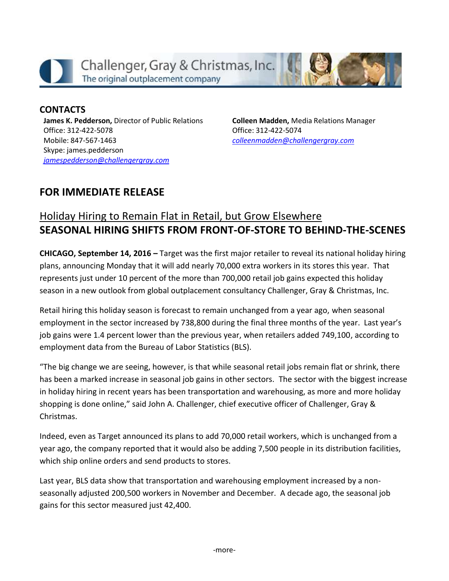

**CONTACTS James K. Pedderson,** Director of Public Relations Office: 312-422-5078 Mobile: 847-567-1463

Skype: james.pedderson *[jamespedderson@challengergray.com](mailto:jamespedderson@challengergray.com)* **Colleen Madden,** Media Relations Manager Office: 312-422-5074 *[colleenmadden@challengergray.com](mailto:colleenmadden@challengergray.com)*

## **FOR IMMEDIATE RELEASE**

## Holiday Hiring to Remain Flat in Retail, but Grow Elsewhere **SEASONAL HIRING SHIFTS FROM FRONT-OF-STORE TO BEHIND-THE-SCENES**

**CHICAGO, September 14, 2016 –** Target was the first major retailer to reveal its national holiday hiring plans, announcing Monday that it will add nearly 70,000 extra workers in its stores this year. That represents just under 10 percent of the more than 700,000 retail job gains expected this holiday season in a new outlook from global outplacement consultancy Challenger, Gray & Christmas, Inc.

Retail hiring this holiday season is forecast to remain unchanged from a year ago, when seasonal employment in the sector increased by 738,800 during the final three months of the year. Last year's job gains were 1.4 percent lower than the previous year, when retailers added 749,100, according to employment data from the Bureau of Labor Statistics (BLS).

"The big change we are seeing, however, is that while seasonal retail jobs remain flat or shrink, there has been a marked increase in seasonal job gains in other sectors. The sector with the biggest increase in holiday hiring in recent years has been transportation and warehousing, as more and more holiday shopping is done online," said John A. Challenger, chief executive officer of Challenger, Gray & Christmas.

Indeed, even as Target announced its plans to add 70,000 retail workers, which is unchanged from a year ago, the company reported that it would also be adding 7,500 people in its distribution facilities, which ship online orders and send products to stores.

Last year, BLS data show that transportation and warehousing employment increased by a nonseasonally adjusted 200,500 workers in November and December. A decade ago, the seasonal job gains for this sector measured just 42,400.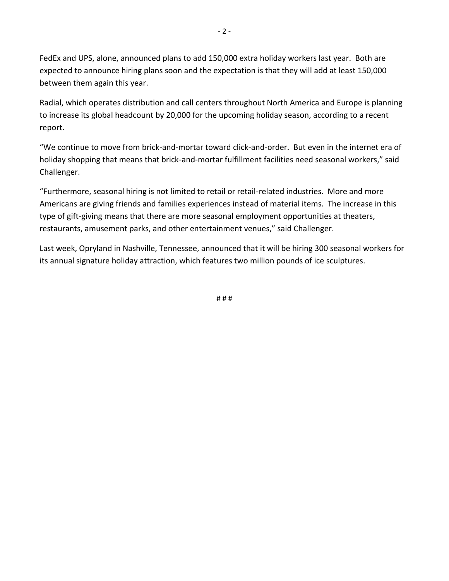FedEx and UPS, alone, announced plans to add 150,000 extra holiday workers last year. Both are expected to announce hiring plans soon and the expectation is that they will add at least 150,000 between them again this year.

Radial, which operates distribution and call centers throughout North America and Europe is planning to increase its global headcount by 20,000 for the upcoming holiday season, according to a recent report.

"We continue to move from brick-and-mortar toward click-and-order. But even in the internet era of holiday shopping that means that brick-and-mortar fulfillment facilities need seasonal workers," said Challenger.

"Furthermore, seasonal hiring is not limited to retail or retail-related industries. More and more Americans are giving friends and families experiences instead of material items. The increase in this type of gift-giving means that there are more seasonal employment opportunities at theaters, restaurants, amusement parks, and other entertainment venues," said Challenger.

Last week, Opryland in Nashville, Tennessee, announced that it will be hiring 300 seasonal workers for its annual signature holiday attraction, which features two million pounds of ice sculptures.

# # #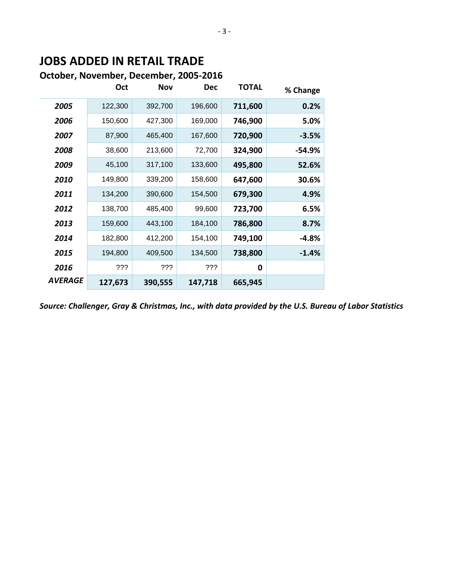## **JOBS ADDED IN RETAIL TRADE**

## **October, November, December, 2005-2016**

|                | Oct     | <b>Nov</b> | <b>Dec</b> | <b>TOTAL</b> | % Change |
|----------------|---------|------------|------------|--------------|----------|
| 2005           | 122,300 | 392,700    | 196,600    | 711,600      | 0.2%     |
| 2006           | 150,600 | 427,300    | 169,000    | 746,900      | 5.0%     |
| 2007           | 87,900  | 465,400    | 167,600    | 720,900      | $-3.5%$  |
| 2008           | 38,600  | 213,600    | 72,700     | 324,900      | -54.9%   |
| 2009           | 45,100  | 317,100    | 133,600    | 495,800      | 52.6%    |
| 2010           | 149,800 | 339,200    | 158,600    | 647,600      | 30.6%    |
| 2011           | 134,200 | 390,600    | 154,500    | 679,300      | 4.9%     |
| 2012           | 138,700 | 485,400    | 99,600     | 723,700      | 6.5%     |
| 2013           | 159,600 | 443,100    | 184,100    | 786,800      | 8.7%     |
| 2014           | 182,800 | 412,200    | 154,100    | 749,100      | -4.8%    |
| 2015           | 194,800 | 409,500    | 134,500    | 738,800      | $-1.4%$  |
| 2016           | ???     | ???        | ???        | 0            |          |
| <b>AVERAGE</b> | 127,673 | 390,555    | 147,718    | 665,945      |          |

*Source: Challenger, Gray & Christmas, Inc., with data provided by the U.S. Bureau of Labor Statistics*